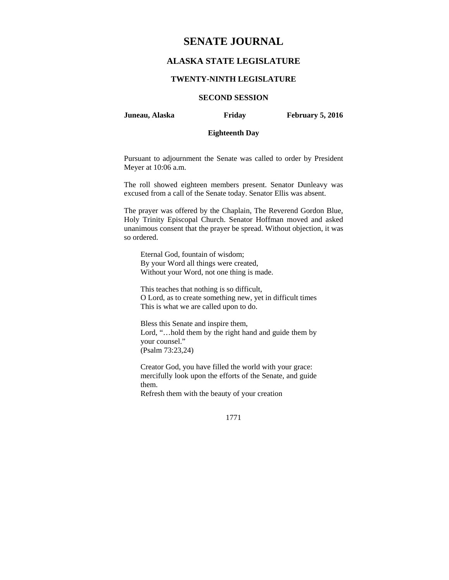# **SENATE JOURNAL**

# **ALASKA STATE LEGISLATURE**

#### **TWENTY-NINTH LEGISLATURE**

# **SECOND SESSION**

**Juneau, Alaska Friday February 5, 2016** 

# **Eighteenth Day**

Pursuant to adjournment the Senate was called to order by President Meyer at 10:06 a.m.

The roll showed eighteen members present. Senator Dunleavy was excused from a call of the Senate today. Senator Ellis was absent.

The prayer was offered by the Chaplain, The Reverend Gordon Blue, Holy Trinity Episcopal Church. Senator Hoffman moved and asked unanimous consent that the prayer be spread. Without objection, it was so ordered.

Eternal God, fountain of wisdom; By your Word all things were created, Without your Word, not one thing is made.

This teaches that nothing is so difficult, O Lord, as to create something new, yet in difficult times This is what we are called upon to do.

Bless this Senate and inspire them, Lord, "…hold them by the right hand and guide them by your counsel." (Psalm 73:23,24)

Creator God, you have filled the world with your grace: mercifully look upon the efforts of the Senate, and guide them.

Refresh them with the beauty of your creation

1771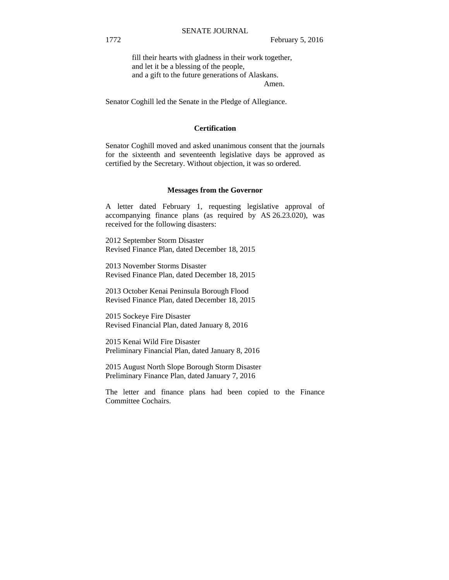fill their hearts with gladness in their work together, and let it be a blessing of the people, and a gift to the future generations of Alaskans. Amen.

Senator Coghill led the Senate in the Pledge of Allegiance.

#### **Certification**

Senator Coghill moved and asked unanimous consent that the journals for the sixteenth and seventeenth legislative days be approved as certified by the Secretary. Without objection, it was so ordered.

#### **Messages from the Governor**

A letter dated February 1, requesting legislative approval of accompanying finance plans (as required by AS 26.23.020), was received for the following disasters:

2012 September Storm Disaster Revised Finance Plan, dated December 18, 2015

2013 November Storms Disaster Revised Finance Plan, dated December 18, 2015

2013 October Kenai Peninsula Borough Flood Revised Finance Plan, dated December 18, 2015

2015 Sockeye Fire Disaster Revised Financial Plan, dated January 8, 2016

2015 Kenai Wild Fire Disaster Preliminary Financial Plan, dated January 8, 2016

2015 August North Slope Borough Storm Disaster Preliminary Finance Plan, dated January 7, 2016

The letter and finance plans had been copied to the Finance Committee Cochairs.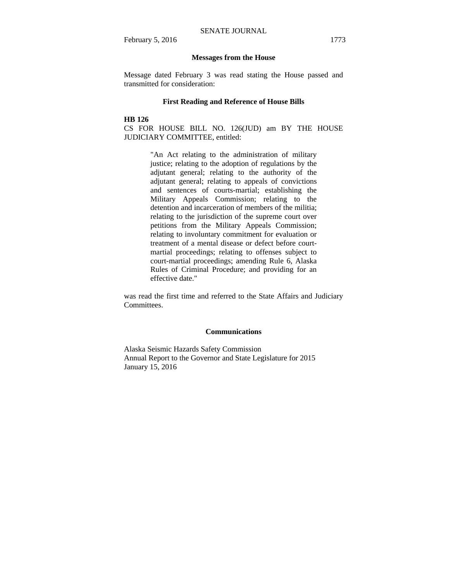#### **Messages from the House**

Message dated February 3 was read stating the House passed and transmitted for consideration:

#### **First Reading and Reference of House Bills**

#### **HB 126**

CS FOR HOUSE BILL NO. 126(JUD) am BY THE HOUSE JUDICIARY COMMITTEE, entitled:

> "An Act relating to the administration of military justice; relating to the adoption of regulations by the adjutant general; relating to the authority of the adjutant general; relating to appeals of convictions and sentences of courts-martial; establishing the Military Appeals Commission; relating to the detention and incarceration of members of the militia; relating to the jurisdiction of the supreme court over petitions from the Military Appeals Commission; relating to involuntary commitment for evaluation or treatment of a mental disease or defect before courtmartial proceedings; relating to offenses subject to court-martial proceedings; amending Rule 6, Alaska Rules of Criminal Procedure; and providing for an effective date."

was read the first time and referred to the State Affairs and Judiciary Committees.

#### **Communications**

Alaska Seismic Hazards Safety Commission Annual Report to the Governor and State Legislature for 2015 January 15, 2016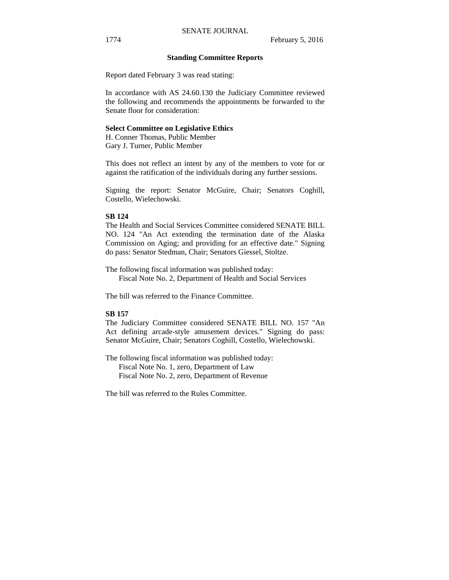#### **Standing Committee Reports**

Report dated February 3 was read stating:

In accordance with AS 24.60.130 the Judiciary Committee reviewed the following and recommends the appointments be forwarded to the Senate floor for consideration:

#### **Select Committee on Legislative Ethics**

H. Conner Thomas, Public Member Gary J. Turner, Public Member

This does not reflect an intent by any of the members to vote for or against the ratification of the individuals during any further sessions.

Signing the report: Senator McGuire, Chair; Senators Coghill, Costello, Wielechowski.

#### **SB 124**

The Health and Social Services Committee considered SENATE BILL NO. 124 "An Act extending the termination date of the Alaska Commission on Aging; and providing for an effective date." Signing do pass: Senator Stedman, Chair; Senators Giessel, Stoltze.

The following fiscal information was published today: Fiscal Note No. 2, Department of Health and Social Services

The bill was referred to the Finance Committee.

## **SB 157**

The Judiciary Committee considered SENATE BILL NO. 157 "An Act defining arcade-style amusement devices." Signing do pass: Senator McGuire, Chair; Senators Coghill, Costello, Wielechowski.

The following fiscal information was published today: Fiscal Note No. 1, zero, Department of Law Fiscal Note No. 2, zero, Department of Revenue

The bill was referred to the Rules Committee.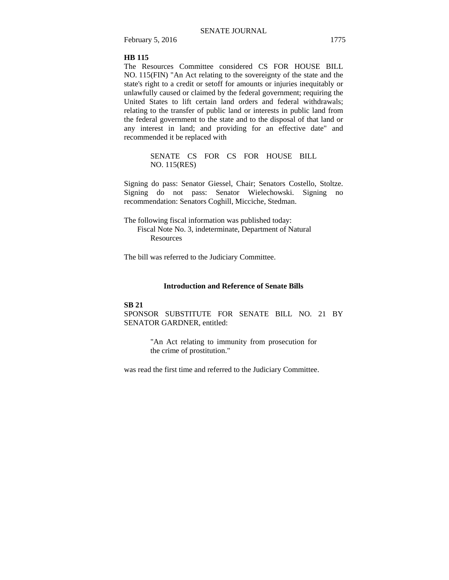## **HB 115**

The Resources Committee considered CS FOR HOUSE BILL NO. 115(FIN) "An Act relating to the sovereignty of the state and the state's right to a credit or setoff for amounts or injuries inequitably or unlawfully caused or claimed by the federal government; requiring the United States to lift certain land orders and federal withdrawals; relating to the transfer of public land or interests in public land from the federal government to the state and to the disposal of that land or any interest in land; and providing for an effective date" and recommended it be replaced with

> SENATE CS FOR CS FOR HOUSE BILL NO. 115(RES)

Signing do pass: Senator Giessel, Chair; Senators Costello, Stoltze. Signing do not pass: Senator Wielechowski. Signing no recommendation: Senators Coghill, Micciche, Stedman.

The following fiscal information was published today: Fiscal Note No. 3, indeterminate, Department of Natural Resources

The bill was referred to the Judiciary Committee.

#### **Introduction and Reference of Senate Bills**

#### **SB 21**

SPONSOR SUBSTITUTE FOR SENATE BILL NO. 21 BY SENATOR GARDNER, entitled:

> "An Act relating to immunity from prosecution for the crime of prostitution."

was read the first time and referred to the Judiciary Committee.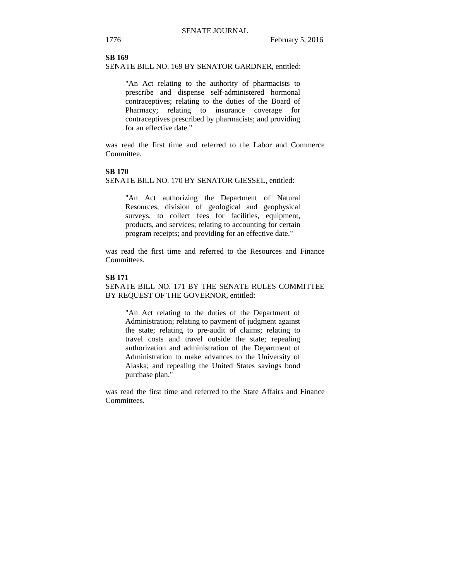## **SB 169**

SENATE BILL NO. 169 BY SENATOR GARDNER, entitled:

"An Act relating to the authority of pharmacists to prescribe and dispense self-administered hormonal contraceptives; relating to the duties of the Board of Pharmacy; relating to insurance coverage for contraceptives prescribed by pharmacists; and providing for an effective date."

was read the first time and referred to the Labor and Commerce Committee.

#### **SB 170**

SENATE BILL NO. 170 BY SENATOR GIESSEL, entitled:

"An Act authorizing the Department of Natural Resources, division of geological and geophysical surveys, to collect fees for facilities, equipment, products, and services; relating to accounting for certain program receipts; and providing for an effective date."

was read the first time and referred to the Resources and Finance Committees.

## **SB 171**

SENATE BILL NO. 171 BY THE SENATE RULES COMMITTEE BY REQUEST OF THE GOVERNOR, entitled:

"An Act relating to the duties of the Department of Administration; relating to payment of judgment against the state; relating to pre-audit of claims; relating to travel costs and travel outside the state; repealing authorization and administration of the Department of Administration to make advances to the University of Alaska; and repealing the United States savings bond purchase plan."

was read the first time and referred to the State Affairs and Finance Committees.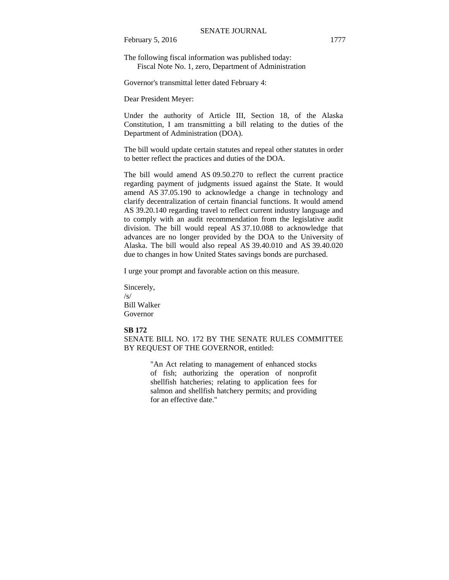The following fiscal information was published today: Fiscal Note No. 1, zero, Department of Administration

Governor's transmittal letter dated February 4:

Dear President Meyer:

Under the authority of Article III, Section 18, of the Alaska Constitution, I am transmitting a bill relating to the duties of the Department of Administration (DOA).

The bill would update certain statutes and repeal other statutes in order to better reflect the practices and duties of the DOA.

The bill would amend AS 09.50.270 to reflect the current practice regarding payment of judgments issued against the State. It would amend AS 37.05.190 to acknowledge a change in technology and clarify decentralization of certain financial functions. It would amend AS 39.20.140 regarding travel to reflect current industry language and to comply with an audit recommendation from the legislative audit division. The bill would repeal AS 37.10.088 to acknowledge that advances are no longer provided by the DOA to the University of Alaska. The bill would also repeal AS 39.40.010 and AS 39.40.020 due to changes in how United States savings bonds are purchased.

I urge your prompt and favorable action on this measure.

Sincerely, /s/ Bill Walker Governor

#### **SB 172**

SENATE BILL NO. 172 BY THE SENATE RULES COMMITTEE BY REQUEST OF THE GOVERNOR, entitled:

> "An Act relating to management of enhanced stocks of fish; authorizing the operation of nonprofit shellfish hatcheries; relating to application fees for salmon and shellfish hatchery permits; and providing for an effective date."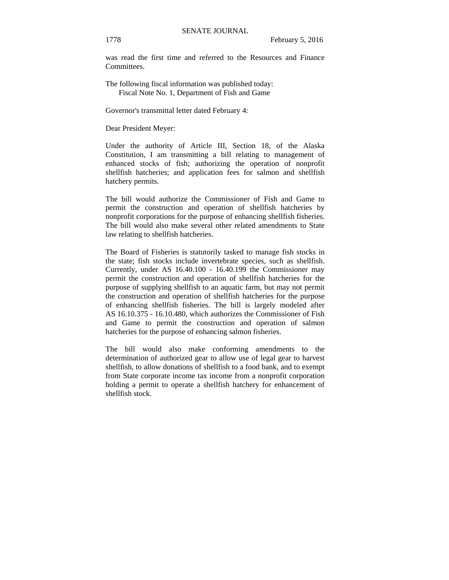was read the first time and referred to the Resources and Finance **Committees** 

The following fiscal information was published today: Fiscal Note No. 1, Department of Fish and Game

Governor's transmittal letter dated February 4:

Dear President Meyer:

Under the authority of Article III, Section 18, of the Alaska Constitution, I am transmitting a bill relating to management of enhanced stocks of fish; authorizing the operation of nonprofit shellfish hatcheries; and application fees for salmon and shellfish hatchery permits.

The bill would authorize the Commissioner of Fish and Game to permit the construction and operation of shellfish hatcheries by nonprofit corporations for the purpose of enhancing shellfish fisheries. The bill would also make several other related amendments to State law relating to shellfish hatcheries.

The Board of Fisheries is statutorily tasked to manage fish stocks in the state; fish stocks include invertebrate species, such as shellfish. Currently, under AS 16.40.100 - 16.40.199 the Commissioner may permit the construction and operation of shellfish hatcheries for the purpose of supplying shellfish to an aquatic farm, but may not permit the construction and operation of shellfish hatcheries for the purpose of enhancing shellfish fisheries. The bill is largely modeled after AS 16.10.375 - 16.10.480, which authorizes the Commissioner of Fish and Game to permit the construction and operation of salmon hatcheries for the purpose of enhancing salmon fisheries.

The bill would also make conforming amendments to the determination of authorized gear to allow use of legal gear to harvest shellfish, to allow donations of shellfish to a food bank, and to exempt from State corporate income tax income from a nonprofit corporation holding a permit to operate a shellfish hatchery for enhancement of shellfish stock.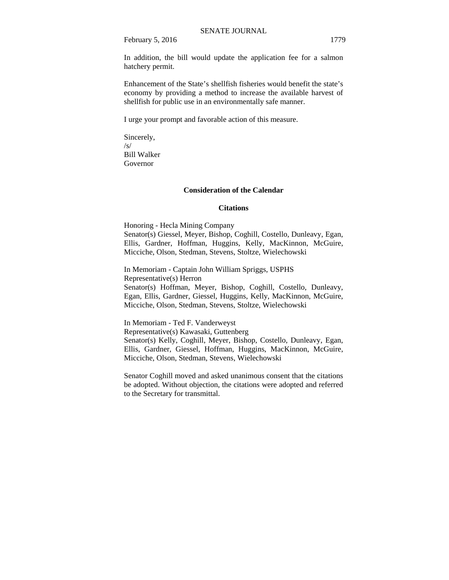In addition, the bill would update the application fee for a salmon hatchery permit.

Enhancement of the State's shellfish fisheries would benefit the state's economy by providing a method to increase the available harvest of shellfish for public use in an environmentally safe manner.

I urge your prompt and favorable action of this measure.

Sincerely,  $\sqrt{s}$ Bill Walker Governor

#### **Consideration of the Calendar**

#### **Citations**

Honoring - Hecla Mining Company Senator(s) Giessel, Meyer, Bishop, Coghill, Costello, Dunleavy, Egan, Ellis, Gardner, Hoffman, Huggins, Kelly, MacKinnon, McGuire, Micciche, Olson, Stedman, Stevens, Stoltze, Wielechowski

In Memoriam - Captain John William Spriggs, USPHS Representative(s) Herron Senator(s) Hoffman, Meyer, Bishop, Coghill, Costello, Dunleavy, Egan, Ellis, Gardner, Giessel, Huggins, Kelly, MacKinnon, McGuire, Micciche, Olson, Stedman, Stevens, Stoltze, Wielechowski

In Memoriam - Ted F. Vanderweyst Representative(s) Kawasaki, Guttenberg Senator(s) Kelly, Coghill, Meyer, Bishop, Costello, Dunleavy, Egan, Ellis, Gardner, Giessel, Hoffman, Huggins, MacKinnon, McGuire, Micciche, Olson, Stedman, Stevens, Wielechowski

Senator Coghill moved and asked unanimous consent that the citations be adopted. Without objection, the citations were adopted and referred to the Secretary for transmittal.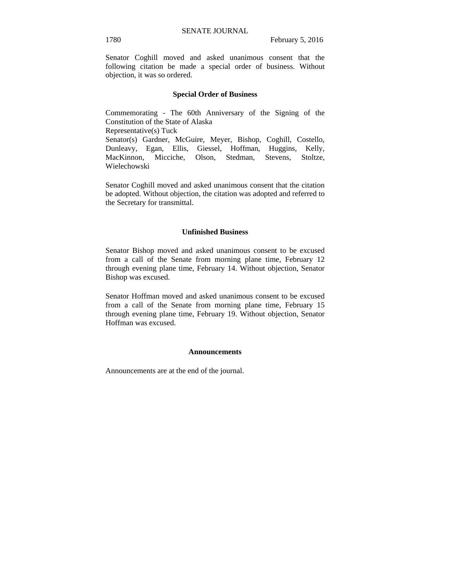Senator Coghill moved and asked unanimous consent that the following citation be made a special order of business. Without objection, it was so ordered.

#### **Special Order of Business**

Commemorating - The 60th Anniversary of the Signing of the Constitution of the State of Alaska Representative(s) Tuck Senator(s) Gardner, McGuire, Meyer, Bishop, Coghill, Costello, Dunleavy, Egan, Ellis, Giessel, Hoffman, Huggins, Kelly, MacKinnon, Micciche, Olson, Stedman, Stevens, Stoltze,

Wielechowski

Senator Coghill moved and asked unanimous consent that the citation be adopted. Without objection, the citation was adopted and referred to the Secretary for transmittal.

#### **Unfinished Business**

Senator Bishop moved and asked unanimous consent to be excused from a call of the Senate from morning plane time, February 12 through evening plane time, February 14. Without objection, Senator Bishop was excused.

Senator Hoffman moved and asked unanimous consent to be excused from a call of the Senate from morning plane time, February 15 through evening plane time, February 19. Without objection, Senator Hoffman was excused.

#### **Announcements**

Announcements are at the end of the journal.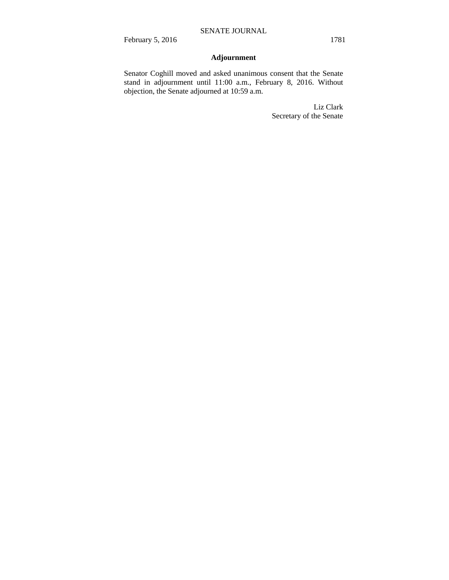# **Adjournment**

Senator Coghill moved and asked unanimous consent that the Senate stand in adjournment until 11:00 a.m., February 8, 2016. Without objection, the Senate adjourned at 10:59 a.m.

> Liz Clark Secretary of the Senate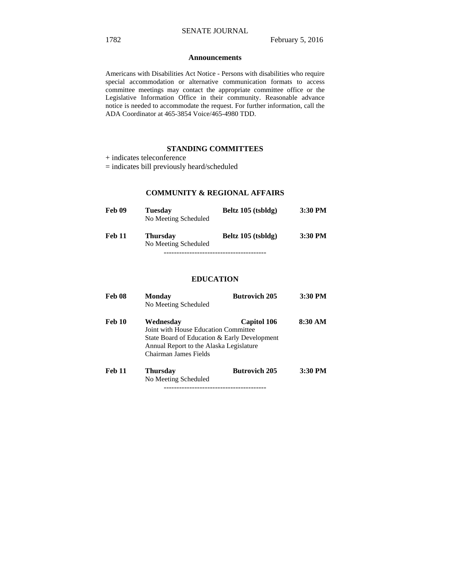#### **Announcements**

Americans with Disabilities Act Notice - Persons with disabilities who require special accommodation or alternative communication formats to access committee meetings may contact the appropriate committee office or the Legislative Information Office in their community. Reasonable advance notice is needed to accommodate the request. For further information, call the ADA Coordinator at 465-3854 Voice/465-4980 TDD.

## **STANDING COMMITTEES**

+ indicates teleconference

= indicates bill previously heard/scheduled

## **COMMUNITY & REGIONAL AFFAIRS**

| Feb 09        | <b>Tuesday</b><br>No Meeting Scheduled  | Beltz 105 (tsbldg) | 3:30 PM |
|---------------|-----------------------------------------|--------------------|---------|
| <b>Feb 11</b> | <b>Thursday</b><br>No Meeting Scheduled | Beltz 105 (tsbldg) | 3:30 PM |

### **EDUCATION**

| <b>Feb 08</b> | Monday<br>No Meeting Scheduled                                                                                                                                        | <b>Butrovich 205</b> | 3:30 PM |
|---------------|-----------------------------------------------------------------------------------------------------------------------------------------------------------------------|----------------------|---------|
| Feb 10        | Wednesdav<br>Joint with House Education Committee<br>State Board of Education & Early Development<br>Annual Report to the Alaska Legislature<br>Chairman James Fields | <b>Capitol 106</b>   | 8:30 AM |
| <b>Feb 11</b> | Thursday<br>No Meeting Scheduled                                                                                                                                      | <b>Butrovich 205</b> | 3:30 PM |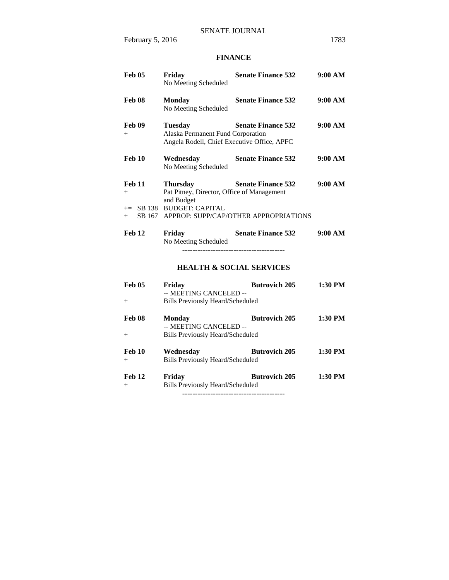# **FINANCE**

| <b>Feb 05</b>           | Friday<br>No Meeting Scheduled                                                                     | <b>Senate Finance 532</b>                    | 9:00 AM |
|-------------------------|----------------------------------------------------------------------------------------------------|----------------------------------------------|---------|
| Feb 08                  | <b>Monday</b><br>No Meeting Scheduled                                                              | <b>Senate Finance 532</b>                    | 9:00 AM |
| Feb 09<br>$+$           | <b>Tuesday</b><br>Alaska Permanent Fund Corporation<br>Angela Rodell, Chief Executive Office, APFC | <b>Senate Finance 532</b>                    | 9:00 AM |
| Feb 10                  | Wednesday<br>No Meeting Scheduled                                                                  | <b>Senate Finance 532</b>                    | 9:00 AM |
| <b>Feb 11</b><br>$^{+}$ | <b>Thursday</b><br>Pat Pitney, Director, Office of Management<br>and Budget                        | <b>Senate Finance 532</b>                    | 9:00 AM |
| $+$ $-$                 | += SB 138 BUDGET: CAPITAL                                                                          | SB 167 APPROP: SUPP/CAP/OTHER APPROPRIATIONS |         |
| Feb 12                  | Friday<br>No Meeting Scheduled                                                                     | <b>Senate Finance 532</b>                    | 9:00 AM |
|                         |                                                                                                    | <b>HEALTH &amp; SOCIAL SERVICES</b>          |         |
| <b>Feb 05</b><br>$^{+}$ | Friday<br>-- MEETING CANCELED --<br><b>Bills Previously Heard/Scheduled</b>                        | <b>Butrovich 205</b>                         | 1:30 PM |
| Feb 08<br>$^{+}$        | <b>Monday</b><br>-- MEETING CANCELED --<br><b>Bills Previously Heard/Scheduled</b>                 | <b>Butrovich 205</b>                         | 1:30 PM |
| <b>Feb 10</b><br>$+$    | Wednesday<br><b>Bills Previously Heard/Scheduled</b>                                               | <b>Butrovich 205</b>                         | 1:30 PM |
| Feb 12<br>$^{+}$        | Friday<br><b>Bills Previously Heard/Scheduled</b>                                                  | <b>Butrovich 205</b>                         | 1:30 PM |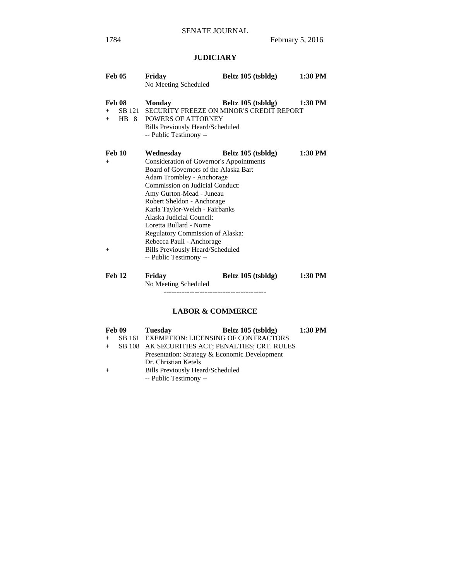# **JUDICIARY**

| <b>Feb 05</b>                     | Friday<br>No Meeting Scheduled                                                                                                                                                                                                                                                                                                                                                                                                                                | Beltz 105 (tsbldg) | 1:30 PM |
|-----------------------------------|---------------------------------------------------------------------------------------------------------------------------------------------------------------------------------------------------------------------------------------------------------------------------------------------------------------------------------------------------------------------------------------------------------------------------------------------------------------|--------------------|---------|
| <b>Feb 08</b><br>$+$              | <b>Monday</b><br>SB 121 SECURITY FREEZE ON MINOR'S CREDIT REPORT<br>+ HB 8 POWERS OF ATTORNEY<br>Bills Previously Heard/Scheduled<br>-- Public Testimony --                                                                                                                                                                                                                                                                                                   | Beltz 105 (tsbldg) | 1:30 PM |
| <b>Feb 10</b><br>$^{+}$<br>$^{+}$ | Wednesday<br><b>Consideration of Governor's Appointments</b><br>Board of Governors of the Alaska Bar:<br>Adam Trombley - Anchorage<br>Commission on Judicial Conduct:<br>Amy Gurton-Mead - Juneau<br>Robert Sheldon - Anchorage<br>Karla Taylor-Welch - Fairbanks<br>Alaska Judicial Council:<br>Loretta Bullard - Nome<br>Regulatory Commission of Alaska:<br>Rebecca Pauli - Anchorage<br><b>Bills Previously Heard/Scheduled</b><br>-- Public Testimony -- | Beltz 105 (tsbldg) | 1:30 PM |
| <b>Feb 12</b>                     | Friday<br>No Meeting Scheduled                                                                                                                                                                                                                                                                                                                                                                                                                                | Beltz 105 (tsbldg) | 1:30 PM |

# **LABOR & COMMERCE**

| Feb 09 | <b>Tuesday</b>                                  | Beltz 105 (tsbldg) | 1:30 PM |
|--------|-------------------------------------------------|--------------------|---------|
|        | SB 161 EXEMPTION: LICENSING OF CONTRACTORS      |                    |         |
|        | SB 108 AK SECURITIES ACT; PENALTIES; CRT. RULES |                    |         |
|        | Presentation: Strategy & Economic Development   |                    |         |
|        | Dr. Christian Ketels                            |                    |         |
|        | <b>Bills Previously Heard/Scheduled</b>         |                    |         |
|        | -- Public Testimony --                          |                    |         |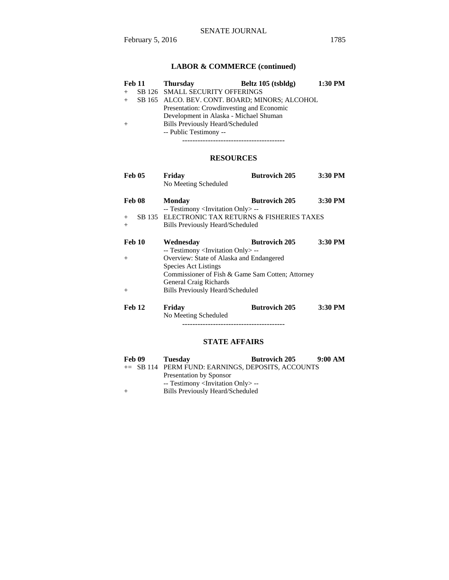# **LABOR & COMMERCE (continued)**

| <b>Feb 11</b> | <b>Thursday</b>                           | Beltz 105 (tsbldg)                             | 1:30 PM |
|---------------|-------------------------------------------|------------------------------------------------|---------|
|               | SB 126 SMALL SECURITY OFFERINGS           |                                                |         |
|               |                                           | SB 165 ALCO. BEV. CONT. BOARD; MINORS; ALCOHOL |         |
|               | Presentation: Crowdinvesting and Economic |                                                |         |
|               | Development in Alaska - Michael Shuman    |                                                |         |
|               | <b>Bills Previously Heard/Scheduled</b>   |                                                |         |
|               | -- Public Testimony --                    |                                                |         |
|               |                                           |                                                |         |

----------------------------------------

# **RESOURCES**

| <b>Feb 05</b> | Friday                                            | <b>Butrovich 205</b> | 3:30 PM |
|---------------|---------------------------------------------------|----------------------|---------|
|               | No Meeting Scheduled                              |                      |         |
| <b>Feb 08</b> | Monday                                            | <b>Butrovich 205</b> | 3:30 PM |
|               | -- Testimony <invitation only=""> --</invitation> |                      |         |
| $+$           | SB 135 ELECTRONIC TAX RETURNS & FISHERIES TAXES   |                      |         |
| $+$           | <b>Bills Previously Heard/Scheduled</b>           |                      |         |
| <b>Feb 10</b> | Wednesdav                                         | <b>Butrovich 205</b> | 3:30 PM |
|               | -- Testimony <invitation only=""> --</invitation> |                      |         |
| $^{+}$        | Overview: State of Alaska and Endangered          |                      |         |
|               | <b>Species Act Listings</b>                       |                      |         |
|               | Commissioner of Fish & Game Sam Cotten; Attorney  |                      |         |
|               | <b>General Craig Richards</b>                     |                      |         |
| $+$           | <b>Bills Previously Heard/Scheduled</b>           |                      |         |
| Feb 12        | Friday                                            | <b>Butrovich 205</b> | 3:30 PM |
|               | No Meeting Scheduled                              |                      |         |
|               |                                                   |                      |         |

# **STATE AFFAIRS**

| Feb 09 | <b>Tuesday</b>                                    | <b>Butrovich 205</b> | 9:00 AM |
|--------|---------------------------------------------------|----------------------|---------|
|        | += SB 114 PERM FUND: EARNINGS, DEPOSITS, ACCOUNTS |                      |         |
|        | Presentation by Sponsor                           |                      |         |
|        | -- Testimony <invitation only=""> --</invitation> |                      |         |
| $^{+}$ | Bills Previously Heard/Scheduled                  |                      |         |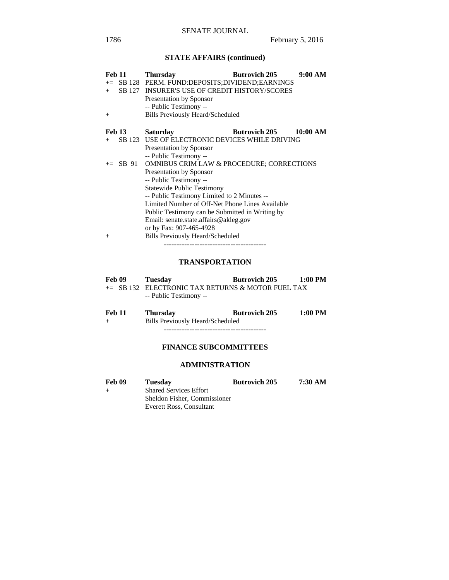# **STATE AFFAIRS (continued)**

| <b>Feb 11</b> |               | <b>Thursday</b>                                      | <b>Butrovich 205</b> | 9:00 AM  |
|---------------|---------------|------------------------------------------------------|----------------------|----------|
|               |               | += SB 128 PERM. FUND:DEPOSITS;DIVIDEND;EARNINGS      |                      |          |
| $+$           | SB 127        | <b>INSURER'S USE OF CREDIT HISTORY/SCORES</b>        |                      |          |
|               |               | <b>Presentation by Sponsor</b>                       |                      |          |
|               |               | -- Public Testimony --                               |                      |          |
| $^{+}$        |               | Bills Previously Heard/Scheduled                     |                      |          |
|               | <b>Feb 13</b> | <b>Saturday</b>                                      | <b>Butrovich 205</b> | 10:00 AM |
| $+$           |               | SB 123 USE OF ELECTRONIC DEVICES WHILE DRIVING       |                      |          |
|               |               | <b>Presentation by Sponsor</b>                       |                      |          |
|               |               | -- Public Testimony --                               |                      |          |
|               | $\pm$ SB 91   | <b>OMNIBUS CRIM LAW &amp; PROCEDURE; CORRECTIONS</b> |                      |          |
|               |               | <b>Presentation by Sponsor</b>                       |                      |          |
|               |               | -- Public Testimony --                               |                      |          |
|               |               | <b>Statewide Public Testimony</b>                    |                      |          |
|               |               | -- Public Testimony Limited to 2 Minutes --          |                      |          |
|               |               | Limited Number of Off-Net Phone Lines Available      |                      |          |
|               |               | Public Testimony can be Submitted in Writing by      |                      |          |
|               |               | Email: senate.state.affairs@akleg.gov                |                      |          |
|               |               | or by Fax: 907-465-4928                              |                      |          |
| $^{+}$        |               | Bills Previously Heard/Scheduled                     |                      |          |
|               |               |                                                      |                      |          |

# **TRANSPORTATION**

| Feb 09 | Tuesday                                           | <b>Butrovich 205</b>           | 1:00 PM             |
|--------|---------------------------------------------------|--------------------------------|---------------------|
|        | += SB 132 ELECTRONIC TAX RETURNS & MOTOR FUEL TAX |                                |                     |
|        | -- Public Testimony --                            |                                |                     |
|        |                                                   | $\mathbf{R}$ is a $\mathbf{A}$ | $\sim$ 00 mm $\sim$ |

| <b>Feb 11</b> | <b>Thursday</b>                  | <b>Butrovich 205</b> | $1:00$ PM |
|---------------|----------------------------------|----------------------|-----------|
| $+$           | Bills Previously Heard/Scheduled |                      |           |
|               |                                  |                      |           |

# **FINANCE SUBCOMMITTEES**

# **ADMINISTRATION**

| Feb 09 | <b>Tuesday</b>                | <b>Butrovich 205</b> | 7:30 AM |  |
|--------|-------------------------------|----------------------|---------|--|
| $^{+}$ | <b>Shared Services Effort</b> |                      |         |  |
|        | Sheldon Fisher, Commissioner  |                      |         |  |
|        | Everett Ross, Consultant      |                      |         |  |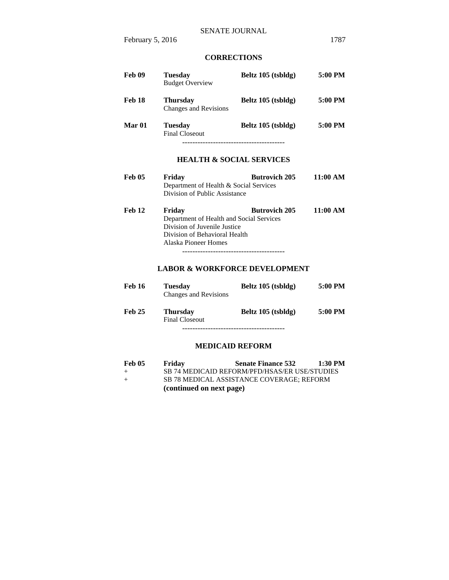## **CORRECTIONS**

| Feb 09        | Tuesday<br><b>Budget Overview</b>                                                                                                           | Beltz 105 (tsbldg)   | 5:00 PM  |
|---------------|---------------------------------------------------------------------------------------------------------------------------------------------|----------------------|----------|
| <b>Feb 18</b> | <b>Thursday</b><br>Changes and Revisions                                                                                                    | Beltz 105 (tsbldg)   | 5:00 PM  |
| Mar 01        | <b>Tuesday</b><br><b>Final Closeout</b>                                                                                                     | Beltz 105 (tsbldg)   | 5:00 PM  |
|               | <b>HEALTH &amp; SOCIAL SERVICES</b>                                                                                                         |                      |          |
| <b>Feb 05</b> | Friday<br>Department of Health & Social Services<br>Division of Public Assistance                                                           | <b>Butrovich 205</b> | 11:00 AM |
| <b>Feb 12</b> | Fridav<br>Department of Health and Social Services<br>Division of Juvenile Justice<br>Division of Behavioral Health<br>Alaska Pioneer Homes | <b>Butrovich 205</b> | 11:00 AM |

----------------------------------------

# **LABOR & WORKFORCE DEVELOPMENT**

| <b>Feb 16</b> | Tuesdav<br>Changes and Revisions  | Beltz 105 (tsbldg) | 5:00 PM |
|---------------|-----------------------------------|--------------------|---------|
| <b>Feb 25</b> | <b>Thursday</b><br>Final Closeout | Beltz 105 (tsbldg) | 5:00 PM |
|               |                                   |                    |         |

#### **MEDICAID REFORM**

| <b>Feb 05</b> | Friday                   | <b>Senate Finance 532</b>                        | $1:30$ PM |
|---------------|--------------------------|--------------------------------------------------|-----------|
| $+$           |                          | SB 74 MEDICAID REFORM/PFD/HSAS/ER USE/STUDIES    |           |
| $+$           |                          | <b>SB 78 MEDICAL ASSISTANCE COVERAGE: REFORM</b> |           |
|               | (continued on next page) |                                                  |           |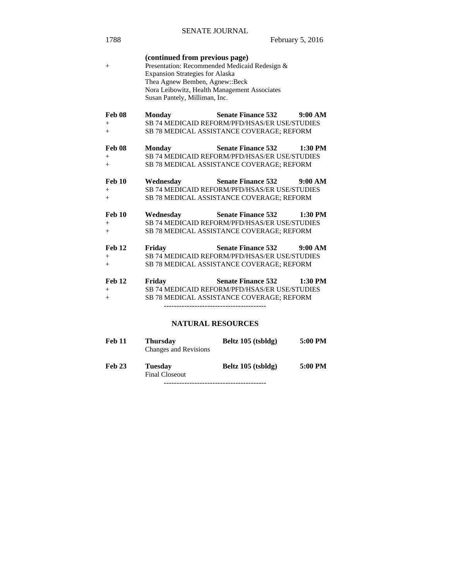| 1788                           |                                                                                                                                                                                                                                              |                                                                                                                                 | February 5, 2016 |
|--------------------------------|----------------------------------------------------------------------------------------------------------------------------------------------------------------------------------------------------------------------------------------------|---------------------------------------------------------------------------------------------------------------------------------|------------------|
| $^{+}$                         | (continued from previous page)<br>Presentation: Recommended Medicaid Redesign &<br><b>Expansion Strategies for Alaska</b><br>Thea Agnew Bemben, Agnew::Beck<br>Nora Leibowitz, Health Management Associates<br>Susan Pantely, Milliman, Inc. |                                                                                                                                 |                  |
| <b>Feb 08</b><br>$+$<br>$+$    | <b>Monday</b>                                                                                                                                                                                                                                | Senate Finance 532 9:00 AM<br>SB 74 MEDICAID REFORM/PFD/HSAS/ER USE/STUDIES<br>SB 78 MEDICAL ASSISTANCE COVERAGE; REFORM        |                  |
| Feb 08<br>$+$<br>$+$           | <b>Monday</b>                                                                                                                                                                                                                                | <b>Senate Finance 532</b><br>SB 74 MEDICAID REFORM/PFD/HSAS/ER USE/STUDIES<br>SB 78 MEDICAL ASSISTANCE COVERAGE; REFORM         | $1:30$ PM        |
| <b>Feb 10</b><br>$+$<br>$+$    | Wednesday                                                                                                                                                                                                                                    | <b>Senate Finance 532</b><br>SB 74 MEDICAID REFORM/PFD/HSAS/ER USE/STUDIES<br>SB 78 MEDICAL ASSISTANCE COVERAGE; REFORM         | 9:00 AM          |
| <b>Feb 10</b><br>$+$<br>$+$    | Wednesday                                                                                                                                                                                                                                    | <b>Senate Finance 532</b><br>SB 74 MEDICAID REFORM/PFD/HSAS/ER USE/STUDIES<br>SB 78 MEDICAL ASSISTANCE COVERAGE; REFORM         | $1:30$ PM        |
| <b>Feb 12</b><br>$+$<br>$+$    | Friday                                                                                                                                                                                                                                       | <b>Senate Finance 532</b><br><b>SB 74 MEDICAID REFORM/PFD/HSAS/ER USE/STUDIES</b><br>SB 78 MEDICAL ASSISTANCE COVERAGE; REFORM  | 9:00 AM          |
| <b>Feb 12</b><br>$^{+}$<br>$+$ | Friday                                                                                                                                                                                                                                       | Senate Finance 532 1:30 PM<br><b>SB 74 MEDICAID REFORM/PFD/HSAS/ER USE/STUDIES</b><br>SB 78 MEDICAL ASSISTANCE COVERAGE; REFORM |                  |
|                                | <b>NATURAL RESOURCES</b>                                                                                                                                                                                                                     |                                                                                                                                 |                  |
| <b>Feb 11</b>                  | <b>Thursday</b><br><b>Changes and Revisions</b>                                                                                                                                                                                              | Beltz 105 (tsbldg)                                                                                                              | 5:00 PM          |

SENATE JOURNAL

**Feb 23 Tuesday Beltz 105 (tsbldg) 5:00 PM**  Final Closeout

----------------------------------------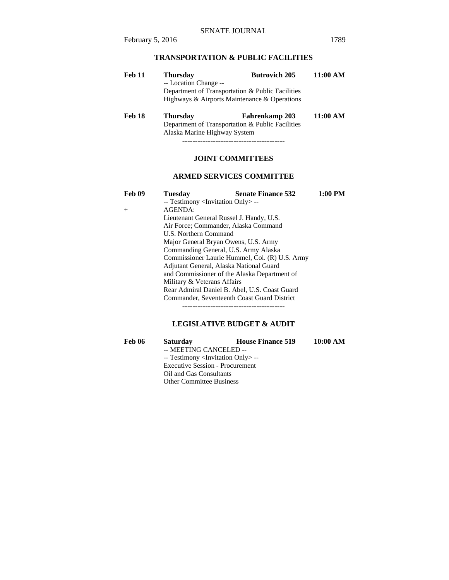# **TRANSPORTATION & PUBLIC FACILITIES**

| <b>Feb 11</b> | <b>Thursday</b>                                  | <b>Butrovich 205</b>                         | 11:00 AM |
|---------------|--------------------------------------------------|----------------------------------------------|----------|
|               | -- Location Change --                            |                                              |          |
|               | Department of Transportation & Public Facilities |                                              |          |
|               |                                                  | Highways & Airports Maintenance & Operations |          |
|               |                                                  |                                              |          |

## **Feb 18 Thursday Fahrenkamp 203 11:00 AM**  Department of Transportation & Public Facilities Alaska Marine Highway System

----------------------------------------

# **JOINT COMMITTEES**

## **ARMED SERVICES COMMITTEE**

| <b>Feb 09</b> | Tuesday                                           | <b>Senate Finance 532</b>           | $1:00$ PM |  |
|---------------|---------------------------------------------------|-------------------------------------|-----------|--|
|               | -- Testimony <invitation only=""> --</invitation> |                                     |           |  |
| $^{+}$        | AGENDA:                                           |                                     |           |  |
|               | Lieutenant General Russel J. Handy, U.S.          |                                     |           |  |
|               | Air Force: Commander, Alaska Command              |                                     |           |  |
|               | U.S. Northern Command                             |                                     |           |  |
|               | Major General Bryan Owens, U.S. Army              |                                     |           |  |
|               | Commanding General, U.S. Army Alaska              |                                     |           |  |
|               | Commissioner Laurie Hummel, Col. (R) U.S. Army    |                                     |           |  |
|               | Adjutant General, Alaska National Guard           |                                     |           |  |
|               | and Commissioner of the Alaska Department of      |                                     |           |  |
|               | Military & Veterans Affairs                       |                                     |           |  |
|               | Rear Admiral Daniel B. Abel, U.S. Coast Guard     |                                     |           |  |
|               | Commander, Seventeenth Coast Guard District       |                                     |           |  |
|               |                                                   | ----------------------------------- |           |  |

# **LEGISLATIVE BUDGET & AUDIT**

| <b>Feb 06</b> | <b>Saturday</b>                                   | <b>House Finance 519</b> | 10:00 AM |
|---------------|---------------------------------------------------|--------------------------|----------|
|               | -- MEETING CANCELED --                            |                          |          |
|               | -- Testimony <invitation only=""> --</invitation> |                          |          |
|               | <b>Executive Session - Procurement</b>            |                          |          |
|               | Oil and Gas Consultants                           |                          |          |
|               | <b>Other Committee Business</b>                   |                          |          |